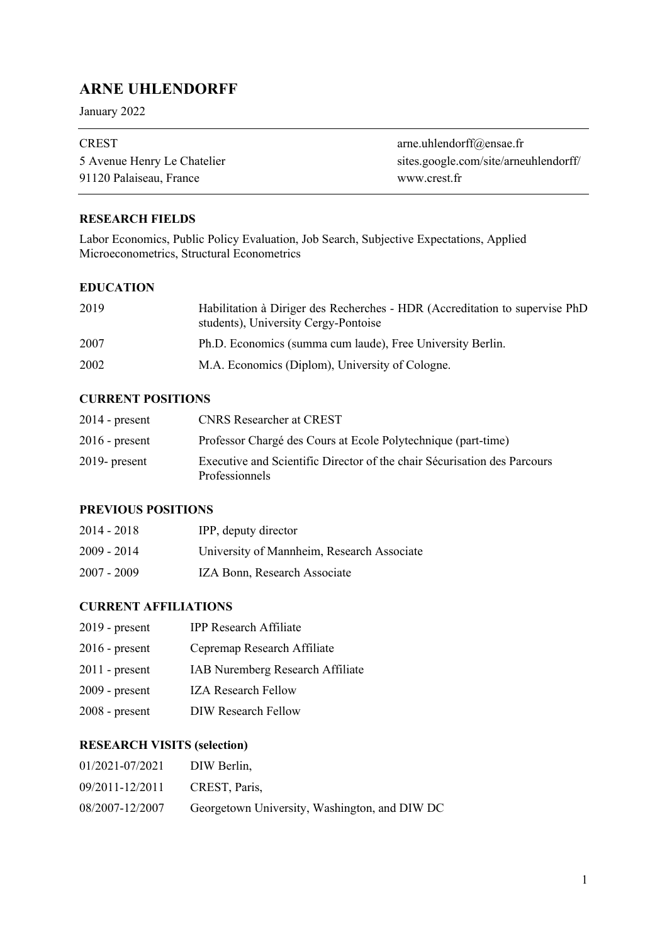# **ARNE UHLENDORFF**

January 2022

| <b>CREST</b>                | arne.uhlendorff@ensae.fr              |
|-----------------------------|---------------------------------------|
| 5 Avenue Henry Le Chatelier | sites.google.com/site/arneuhlendorff/ |
| 91120 Palaiseau, France     | www.crest.fr                          |

#### **RESEARCH FIELDS**

Labor Economics, Public Policy Evaluation, Job Search, Subjective Expectations, Applied Microeconometrics, Structural Econometrics

#### **EDUCATION**

| 2019 | Habilitation à Diriger des Recherches - HDR (Accreditation to supervise PhD<br>students), University Cergy-Pontoise |
|------|---------------------------------------------------------------------------------------------------------------------|
| 2007 | Ph.D. Economics (summa cum laude), Free University Berlin.                                                          |
| 2002 | M.A. Economics (Diplom), University of Cologne.                                                                     |

## **CURRENT POSITIONS**

| $2014$ - present | <b>CNRS</b> Researcher at CREST                                                                   |
|------------------|---------------------------------------------------------------------------------------------------|
| $2016$ - present | Professor Chargé des Cours at Ecole Polytechnique (part-time)                                     |
| $2019$ - present | Executive and Scientific Director of the chair Sécurisation des Parcours<br><b>Professionnels</b> |

# **PREVIOUS POSITIONS**

| 2014 - 2018 | IPP, deputy director                       |
|-------------|--------------------------------------------|
| 2009 - 2014 | University of Mannheim, Research Associate |
| 2007 - 2009 | IZA Bonn, Research Associate               |

# **CURRENT AFFILIATIONS**

| $2019$ - present | <b>IPP Research Affiliate</b>    |
|------------------|----------------------------------|
| $2016$ - present | Cepremap Research Affiliate      |
| $2011$ - present | IAB Nuremberg Research Affiliate |
| $2009$ - present | <b>IZA Research Fellow</b>       |
| $2008$ - present | DIW Research Fellow              |

# **RESEARCH VISITS (selection)**

| 01/2021-07/2021 | DIW Berlin,                                   |
|-----------------|-----------------------------------------------|
| 09/2011-12/2011 | CREST, Paris,                                 |
| 08/2007-12/2007 | Georgetown University, Washington, and DIW DC |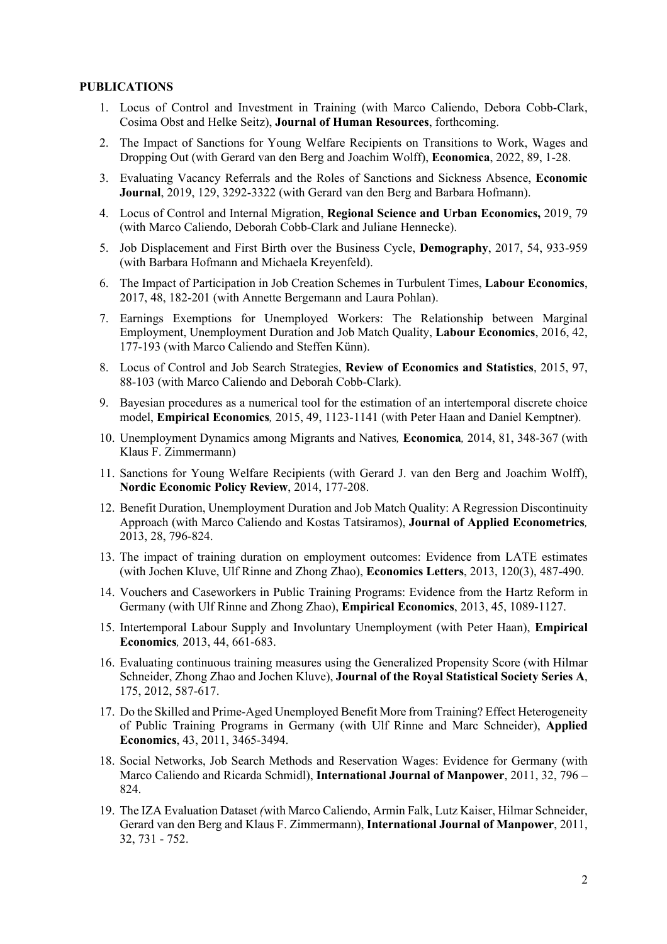#### **PUBLICATIONS**

- 1. Locus of Control and Investment in Training (with Marco Caliendo, Debora Cobb-Clark, Cosima Obst and Helke Seitz), **Journal of Human Resources**, forthcoming.
- 2. The Impact of Sanctions for Young Welfare Recipients on Transitions to Work, Wages and Dropping Out (with Gerard van den Berg and Joachim Wolff), **Economica**, 2022, 89, 1-28.
- 3. Evaluating Vacancy Referrals and the Roles of Sanctions and Sickness Absence, **Economic Journal**, 2019, 129, 3292-3322 (with Gerard van den Berg and Barbara Hofmann).
- 4. Locus of Control and Internal Migration, **Regional Science and Urban Economics,** 2019, 79 (with Marco Caliendo, Deborah Cobb-Clark and Juliane Hennecke).
- 5. Job Displacement and First Birth over the Business Cycle, **Demography**, 2017, 54, 933-959 (with Barbara Hofmann and Michaela Kreyenfeld).
- 6. The Impact of Participation in Job Creation Schemes in Turbulent Times, **Labour Economics**, 2017, 48, 182-201 (with Annette Bergemann and Laura Pohlan).
- 7. Earnings Exemptions for Unemployed Workers: The Relationship between Marginal Employment, Unemployment Duration and Job Match Quality, **Labour Economics**, 2016, 42, 177-193 (with Marco Caliendo and Steffen Künn).
- 8. Locus of Control and Job Search Strategies, **Review of Economics and Statistics**, 2015, 97, 88-103 (with Marco Caliendo and Deborah Cobb-Clark).
- 9. Bayesian procedures as a numerical tool for the estimation of an intertemporal discrete choice model, **Empirical Economics***,* 2015, 49, 1123-1141 (with Peter Haan and Daniel Kemptner).
- 10. Unemployment Dynamics among Migrants and Natives*,* **Economica***,* 2014, 81, 348-367 (with Klaus F. Zimmermann)
- 11. Sanctions for Young Welfare Recipients (with Gerard J. van den Berg and Joachim Wolff), **Nordic Economic Policy Review**, 2014, 177-208.
- 12. Benefit Duration, Unemployment Duration and Job Match Quality: A Regression Discontinuity Approach (with Marco Caliendo and Kostas Tatsiramos), **Journal of Applied Econometrics***,*  2013, 28, 796-824.
- 13. The impact of training duration on employment outcomes: Evidence from LATE estimates (with Jochen Kluve, Ulf Rinne and Zhong Zhao), **Economics Letters**, 2013, 120(3), 487-490.
- 14. Vouchers and Caseworkers in Public Training Programs: Evidence from the Hartz Reform in Germany (with Ulf Rinne and Zhong Zhao), **Empirical Economics**, 2013, 45, 1089-1127.
- 15. Intertemporal Labour Supply and Involuntary Unemployment (with Peter Haan), **Empirical Economics***,* 2013, 44, 661-683.
- 16. Evaluating continuous training measures using the Generalized Propensity Score (with Hilmar Schneider, Zhong Zhao and Jochen Kluve), **Journal of the Royal Statistical Society Series A**, 175, 2012, 587-617.
- 17. Do the Skilled and Prime-Aged Unemployed Benefit More from Training? Effect Heterogeneity of Public Training Programs in Germany (with Ulf Rinne and Marc Schneider), **Applied Economics**, 43, 2011, 3465-3494.
- 18. Social Networks, Job Search Methods and Reservation Wages: Evidence for Germany (with Marco Caliendo and Ricarda Schmidl), **International Journal of Manpower**, 2011, 32, 796 – 824.
- 19. The IZA Evaluation Dataset *(*with Marco Caliendo, Armin Falk, Lutz Kaiser, Hilmar Schneider, Gerard van den Berg and Klaus F. Zimmermann), **International Journal of Manpower**, 2011, 32, 731 - 752.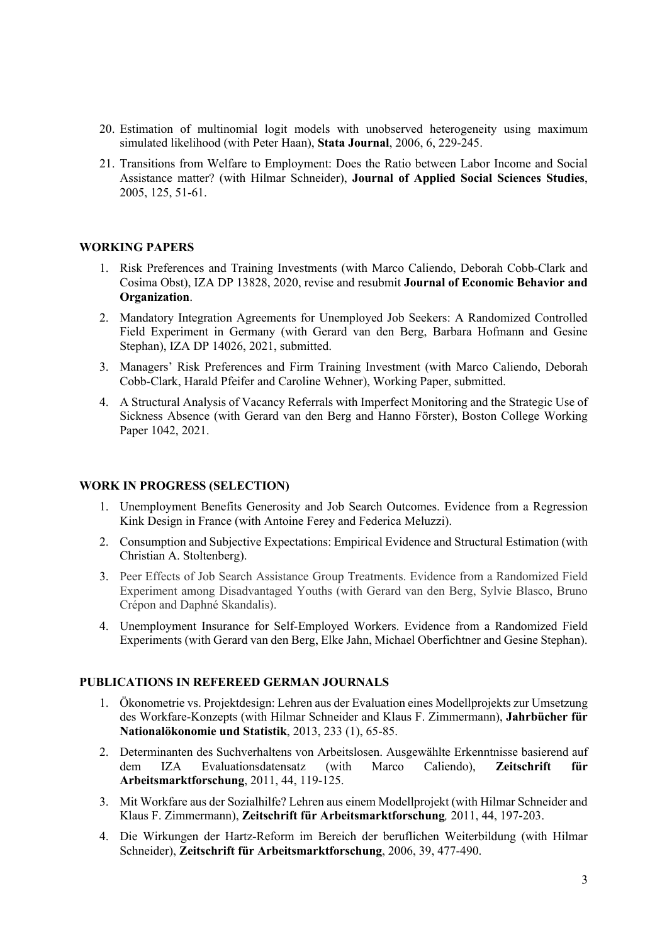- 20. Estimation of multinomial logit models with unobserved heterogeneity using maximum simulated likelihood (with Peter Haan), **Stata Journal**, 2006, 6, 229-245.
- 21. Transitions from Welfare to Employment: Does the Ratio between Labor Income and Social Assistance matter? (with Hilmar Schneider), **Journal of Applied Social Sciences Studies**, 2005, 125, 51-61.

#### **WORKING PAPERS**

- 1. Risk Preferences and Training Investments (with Marco Caliendo, Deborah Cobb-Clark and Cosima Obst), IZA DP 13828, 2020, revise and resubmit **Journal of Economic Behavior and Organization**.
- 2. Mandatory Integration Agreements for Unemployed Job Seekers: A Randomized Controlled Field Experiment in Germany (with Gerard van den Berg, Barbara Hofmann and Gesine Stephan), IZA DP 14026, 2021, submitted.
- 3. Managers' Risk Preferences and Firm Training Investment (with Marco Caliendo, Deborah Cobb-Clark, Harald Pfeifer and Caroline Wehner), Working Paper, submitted.
- 4. A Structural Analysis of Vacancy Referrals with Imperfect Monitoring and the Strategic Use of Sickness Absence (with Gerard van den Berg and Hanno Förster), Boston College Working Paper 1042, 2021.

#### **WORK IN PROGRESS (SELECTION)**

- 1. Unemployment Benefits Generosity and Job Search Outcomes. Evidence from a Regression Kink Design in France (with Antoine Ferey and Federica Meluzzi).
- 2. Consumption and Subjective Expectations: Empirical Evidence and Structural Estimation (with Christian A. Stoltenberg).
- 3. Peer Effects of Job Search Assistance Group Treatments. Evidence from a Randomized Field Experiment among Disadvantaged Youths (with Gerard van den Berg, Sylvie Blasco, Bruno Crépon and Daphné Skandalis).
- 4. Unemployment Insurance for Self-Employed Workers. Evidence from a Randomized Field Experiments (with Gerard van den Berg, Elke Jahn, Michael Oberfichtner and Gesine Stephan).

### **PUBLICATIONS IN REFEREED GERMAN JOURNALS**

- 1. Ökonometrie vs. Projektdesign: Lehren aus der Evaluation eines Modellprojekts zur Umsetzung des Workfare-Konzepts (with Hilmar Schneider and Klaus F. Zimmermann), **Jahrbücher für Nationalökonomie und Statistik**, 2013, 233 (1), 65-85.
- 2. Determinanten des Suchverhaltens von Arbeitslosen. Ausgewählte Erkenntnisse basierend auf dem IZA Evaluationsdatensatz (with Marco Caliendo), **Zeitschrift für Arbeitsmarktforschung**, 2011, 44, 119-125.
- 3. Mit Workfare aus der Sozialhilfe? Lehren aus einem Modellprojekt (with Hilmar Schneider and Klaus F. Zimmermann), **Zeitschrift für Arbeitsmarktforschung***,* 2011, 44, 197-203.
- 4. Die Wirkungen der Hartz-Reform im Bereich der beruflichen Weiterbildung (with Hilmar Schneider), **Zeitschrift für Arbeitsmarktforschung**, 2006, 39, 477-490.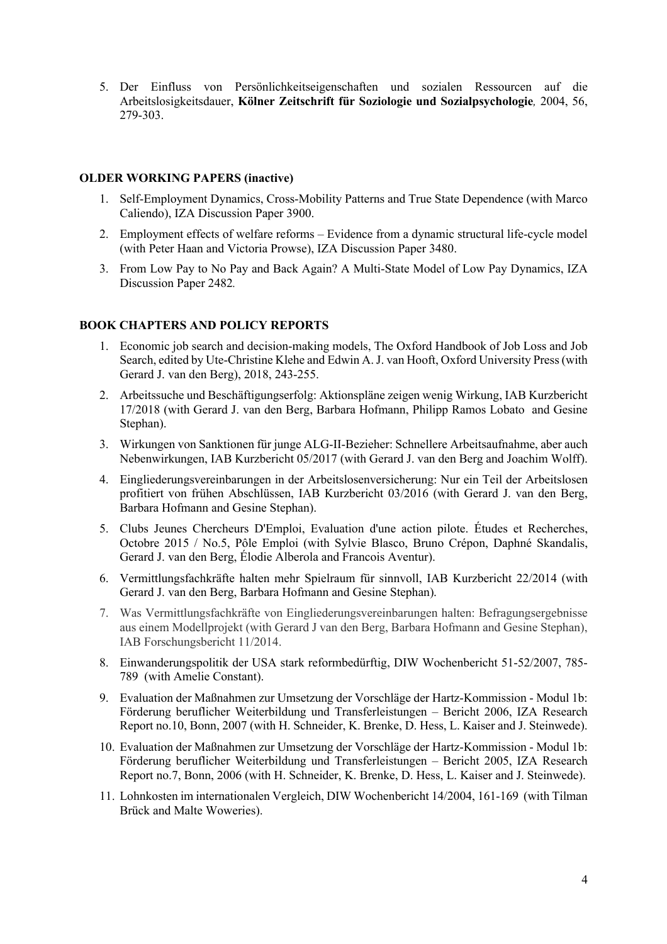5. Der Einfluss von Persönlichkeitseigenschaften und sozialen Ressourcen auf die Arbeitslosigkeitsdauer, **Kölner Zeitschrift für Soziologie und Sozialpsychologie***,* 2004, 56, 279-303.

#### **OLDER WORKING PAPERS (inactive)**

- 1. Self-Employment Dynamics, Cross-Mobility Patterns and True State Dependence (with Marco Caliendo), IZA Discussion Paper 3900.
- 2. Employment effects of welfare reforms Evidence from a dynamic structural life-cycle model (with Peter Haan and Victoria Prowse), IZA Discussion Paper 3480.
- 3. From Low Pay to No Pay and Back Again? A Multi-State Model of Low Pay Dynamics, IZA Discussion Paper 2482*.*

#### **BOOK CHAPTERS AND POLICY REPORTS**

- 1. Economic job search and decision-making models, The Oxford Handbook of Job Loss and Job Search, edited by Ute-Christine Klehe and Edwin A. J. van Hooft, Oxford University Press (with Gerard J. van den Berg), 2018, 243-255.
- 2. Arbeitssuche und Beschäftigungserfolg: Aktionspläne zeigen wenig Wirkung, IAB Kurzbericht 17/2018 (with Gerard J. van den Berg, Barbara Hofmann, Philipp Ramos Lobato and Gesine Stephan).
- 3. Wirkungen von Sanktionen für junge ALG-II-Bezieher: Schnellere Arbeitsaufnahme, aber auch Nebenwirkungen, IAB Kurzbericht 05/2017 (with Gerard J. van den Berg and Joachim Wolff).
- 4. Eingliederungsvereinbarungen in der Arbeitslosenversicherung: Nur ein Teil der Arbeitslosen profitiert von frühen Abschlüssen, IAB Kurzbericht 03/2016 (with Gerard J. van den Berg, Barbara Hofmann and Gesine Stephan).
- 5. Clubs Jeunes Chercheurs D'Emploi, Evaluation d'une action pilote. Études et Recherches, Octobre 2015 / No.5, Pôle Emploi (with Sylvie Blasco, Bruno Crépon, Daphné Skandalis, Gerard J. van den Berg, Élodie Alberola and Francois Aventur).
- 6. Vermittlungsfachkräfte halten mehr Spielraum für sinnvoll, IAB Kurzbericht 22/2014 (with Gerard J. van den Berg, Barbara Hofmann and Gesine Stephan).
- 7. Was Vermittlungsfachkräfte von Eingliederungsvereinbarungen halten: Befragungsergebnisse aus einem Modellprojekt (with Gerard J van den Berg, Barbara Hofmann and Gesine Stephan), IAB Forschungsbericht 11/2014.
- 8. Einwanderungspolitik der USA stark reformbedürftig, DIW Wochenbericht 51-52/2007, 785- 789 (with Amelie Constant).
- 9. Evaluation der Maßnahmen zur Umsetzung der Vorschläge der Hartz-Kommission Modul 1b: Förderung beruflicher Weiterbildung und Transferleistungen – Bericht 2006, IZA Research Report no.10, Bonn, 2007 (with H. Schneider, K. Brenke, D. Hess, L. Kaiser and J. Steinwede).
- 10. Evaluation der Maßnahmen zur Umsetzung der Vorschläge der Hartz-Kommission Modul 1b: Förderung beruflicher Weiterbildung und Transferleistungen – Bericht 2005, IZA Research Report no.7, Bonn, 2006 (with H. Schneider, K. Brenke, D. Hess, L. Kaiser and J. Steinwede).
- 11. Lohnkosten im internationalen Vergleich, DIW Wochenbericht 14/2004, 161-169 (with Tilman Brück and Malte Woweries).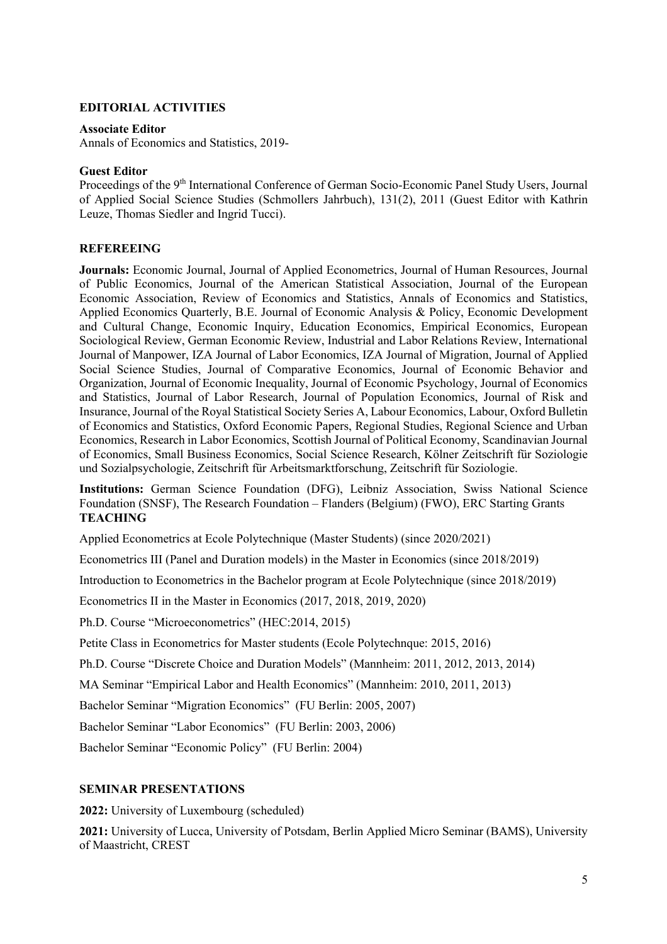#### **EDITORIAL ACTIVITIES**

#### **Associate Editor**

Annals of Economics and Statistics, 2019-

#### **Guest Editor**

Proceedings of the 9<sup>th</sup> International Conference of German Socio-Economic Panel Study Users, Journal of Applied Social Science Studies (Schmollers Jahrbuch), 131(2), 2011 (Guest Editor with Kathrin Leuze, Thomas Siedler and Ingrid Tucci).

#### **REFEREEING**

**Journals:** Economic Journal, Journal of Applied Econometrics, Journal of Human Resources, Journal of Public Economics, Journal of the American Statistical Association, Journal of the European Economic Association, Review of Economics and Statistics, Annals of Economics and Statistics, Applied Economics Quarterly, B.E. Journal of Economic Analysis & Policy, Economic Development and Cultural Change, Economic Inquiry, Education Economics, Empirical Economics, European Sociological Review, German Economic Review, Industrial and Labor Relations Review, International Journal of Manpower, IZA Journal of Labor Economics, IZA Journal of Migration, Journal of Applied Social Science Studies, Journal of Comparative Economics, Journal of Economic Behavior and Organization, Journal of Economic Inequality, Journal of Economic Psychology, Journal of Economics and Statistics, Journal of Labor Research, Journal of Population Economics, Journal of Risk and Insurance, Journal of the Royal Statistical Society Series A, Labour Economics, Labour, Oxford Bulletin of Economics and Statistics, Oxford Economic Papers, Regional Studies, Regional Science and Urban Economics, Research in Labor Economics, Scottish Journal of Political Economy, Scandinavian Journal of Economics, Small Business Economics, Social Science Research, Kölner Zeitschrift für Soziologie und Sozialpsychologie, Zeitschrift für Arbeitsmarktforschung, Zeitschrift für Soziologie.

**Institutions:** German Science Foundation (DFG), Leibniz Association, Swiss National Science Foundation (SNSF), The Research Foundation – Flanders (Belgium) (FWO), ERC Starting Grants **TEACHING**

Applied Econometrics at Ecole Polytechnique (Master Students) (since 2020/2021)

Econometrics III (Panel and Duration models) in the Master in Economics (since 2018/2019)

Introduction to Econometrics in the Bachelor program at Ecole Polytechnique (since 2018/2019)

Econometrics II in the Master in Economics (2017, 2018, 2019, 2020)

Ph.D. Course "Microeconometrics" (HEC:2014, 2015)

Petite Class in Econometrics for Master students (Ecole Polytechnque: 2015, 2016)

Ph.D. Course "Discrete Choice and Duration Models" (Mannheim: 2011, 2012, 2013, 2014)

MA Seminar "Empirical Labor and Health Economics" (Mannheim: 2010, 2011, 2013)

Bachelor Seminar "Migration Economics" (FU Berlin: 2005, 2007)

Bachelor Seminar "Labor Economics" (FU Berlin: 2003, 2006)

Bachelor Seminar "Economic Policy" (FU Berlin: 2004)

#### **SEMINAR PRESENTATIONS**

**2022:** University of Luxembourg (scheduled)

**2021:** University of Lucca, University of Potsdam, Berlin Applied Micro Seminar (BAMS), University of Maastricht, CREST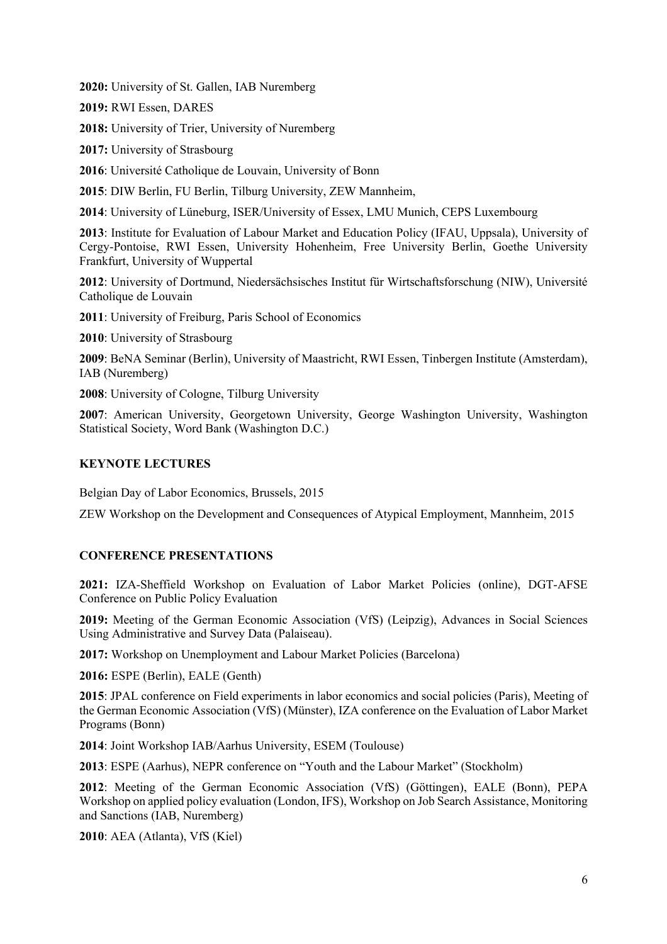**2020:** University of St. Gallen, IAB Nuremberg

**2019:** RWI Essen, DARES

**2018:** University of Trier, University of Nuremberg

**2017:** University of Strasbourg

**2016**: Université Catholique de Louvain, University of Bonn

**2015**: DIW Berlin, FU Berlin, Tilburg University, ZEW Mannheim,

**2014**: University of Lüneburg, ISER/University of Essex, LMU Munich, CEPS Luxembourg

**2013**: Institute for Evaluation of Labour Market and Education Policy (IFAU, Uppsala), University of Cergy-Pontoise, RWI Essen, University Hohenheim, Free University Berlin, Goethe University Frankfurt, University of Wuppertal

**2012**: University of Dortmund, Niedersächsisches Institut für Wirtschaftsforschung (NIW), Université Catholique de Louvain

**2011**: University of Freiburg, Paris School of Economics

**2010**: University of Strasbourg

**2009**: BeNA Seminar (Berlin), University of Maastricht, RWI Essen, Tinbergen Institute (Amsterdam), IAB (Nuremberg)

**2008**: University of Cologne, Tilburg University

**2007**: American University, Georgetown University, George Washington University, Washington Statistical Society, Word Bank (Washington D.C.)

### **KEYNOTE LECTURES**

Belgian Day of Labor Economics, Brussels, 2015

ZEW Workshop on the Development and Consequences of Atypical Employment, Mannheim, 2015

### **CONFERENCE PRESENTATIONS**

**2021:** IZA-Sheffield Workshop on Evaluation of Labor Market Policies (online), DGT-AFSE Conference on Public Policy Evaluation

**2019:** Meeting of the German Economic Association (VfS) (Leipzig), Advances in Social Sciences Using Administrative and Survey Data (Palaiseau).

**2017:** Workshop on Unemployment and Labour Market Policies (Barcelona)

**2016:** ESPE (Berlin), EALE (Genth)

**2015**: JPAL conference on Field experiments in labor economics and social policies (Paris), Meeting of the German Economic Association (VfS) (Münster), IZA conference on the Evaluation of Labor Market Programs (Bonn)

**2014**: Joint Workshop IAB/Aarhus University, ESEM (Toulouse)

**2013**: ESPE (Aarhus), NEPR conference on "Youth and the Labour Market" (Stockholm)

**2012**: Meeting of the German Economic Association (VfS) (Göttingen), EALE (Bonn), PEPA Workshop on applied policy evaluation (London, IFS), Workshop on Job Search Assistance, Monitoring and Sanctions (IAB, Nuremberg)

**2010**: AEA (Atlanta), VfS (Kiel)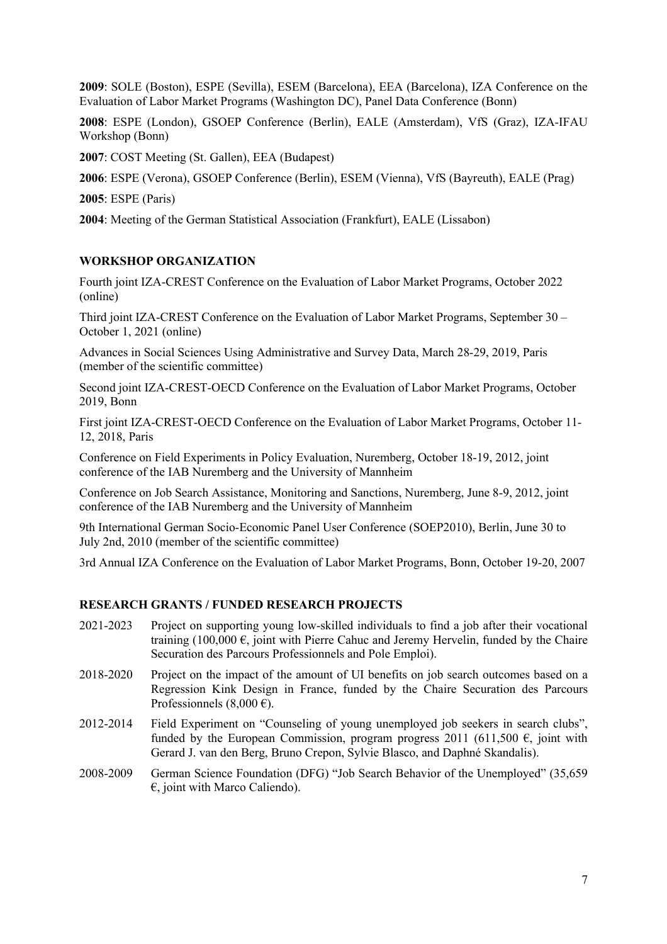**2009**: SOLE (Boston), ESPE (Sevilla), ESEM (Barcelona), EEA (Barcelona), IZA Conference on the Evaluation of Labor Market Programs (Washington DC), Panel Data Conference (Bonn)

**2008**: ESPE (London), GSOEP Conference (Berlin), EALE (Amsterdam), VfS (Graz), IZA-IFAU Workshop (Bonn)

**2007**: COST Meeting (St. Gallen), EEA (Budapest)

**2006**: ESPE (Verona), GSOEP Conference (Berlin), ESEM (Vienna), VfS (Bayreuth), EALE (Prag)

**2005**: ESPE (Paris)

**2004**: Meeting of the German Statistical Association (Frankfurt), EALE (Lissabon)

#### **WORKSHOP ORGANIZATION**

Fourth joint IZA-CREST Conference on the Evaluation of Labor Market Programs, October 2022 (online)

Third joint IZA-CREST Conference on the Evaluation of Labor Market Programs, September 30 – October 1, 2021 (online)

Advances in Social Sciences Using Administrative and Survey Data, March 28-29, 2019, Paris (member of the scientific committee)

Second joint IZA-CREST-OECD Conference on the Evaluation of Labor Market Programs, October 2019, Bonn

First joint IZA-CREST-OECD Conference on the Evaluation of Labor Market Programs, October 11- 12, 2018, Paris

Conference on Field Experiments in Policy Evaluation, Nuremberg, October 18-19, 2012, joint conference of the IAB Nuremberg and the University of Mannheim

Conference on Job Search Assistance, Monitoring and Sanctions, Nuremberg, June 8-9, 2012, joint conference of the IAB Nuremberg and the University of Mannheim

9th International German Socio-Economic Panel User Conference (SOEP2010), Berlin, June 30 to July 2nd, 2010 (member of the scientific committee)

3rd Annual IZA Conference on the Evaluation of Labor Market Programs, Bonn, October 19-20, 2007

#### **RESEARCH GRANTS / FUNDED RESEARCH PROJECTS**

- 2021-2023 Project on supporting young low-skilled individuals to find a job after their vocational training (100,000  $\epsilon$ , joint with Pierre Cahuc and Jeremy Hervelin, funded by the Chaire Securation des Parcours Professionnels and Pole Emploi).
- 2018-2020 Project on the impact of the amount of UI benefits on job search outcomes based on a Regression Kink Design in France, funded by the Chaire Securation des Parcours Professionnels (8,000 €).
- 2012-2014 Field Experiment on "Counseling of young unemployed job seekers in search clubs", funded by the European Commission, program progress 2011 (611,500  $\epsilon$ , joint with Gerard J. van den Berg, Bruno Crepon, Sylvie Blasco, and Daphné Skandalis).
- 2008-2009 German Science Foundation (DFG) "Job Search Behavior of the Unemployed" (35,659  $\epsilon$ , joint with Marco Caliendo).